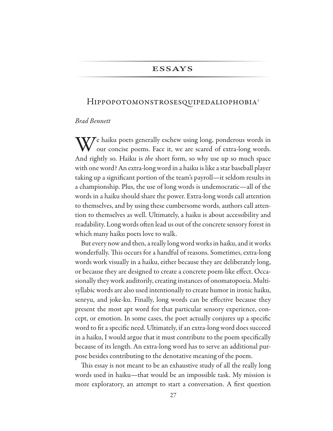## **ESSAYS**

### Hippopotomonstrosesquipedaliophobia<sup>1</sup>

# *Brad Bennett*

 $\mathbf{W}$   $\epsilon$  haiku poets generally eschew using long, ponderous words in our concise poems. Face it, we are scared of extra-long words. And rightly so. Haiku is *the* short form, so why use up so much space with one word? An extra-long word in a haiku is like a star baseball player taking up a signifcant portion of the team's payroll—it seldom results in a championship. Plus, the use of long words is undemocratic—all of the words in a haiku should share the power. Extra-long words call attention to themselves, and by using these cumbersome words, authors call attention to themselves as well. Ultimately, a haiku is about accessibility and readability. Long words often lead us out of the concrete sensory forest in which many haiku poets love to walk.

But every now and then, a really long word works in haiku, and it works wonderfully. This occurs for a handful of reasons. Sometimes, extra-long words work visually in a haiku, either because they are deliberately long, or because they are designed to create a concrete poem-like effect. Occasionally they work auditorily, creating instances of onomatopoeia. Multisyllabic words are also used intentionally to create humor in ironic haiku, senryu, and joke-ku. Finally, long words can be efective because they present the most apt word for that particular sensory experience, concept, or emotion. In some cases, the poet actually conjures up a specifc word to fit a specific need. Ultimately, if an extra-long word does succeed in a haiku, I would argue that it must contribute to the poem specifcally because of its length. An extra-long word has to serve an additional purpose besides contributing to the denotative meaning of the poem.

This essay is not meant to be an exhaustive study of all the really long words used in haiku—that would be an impossible task. My mission is more exploratory, an attempt to start a conversation. A first question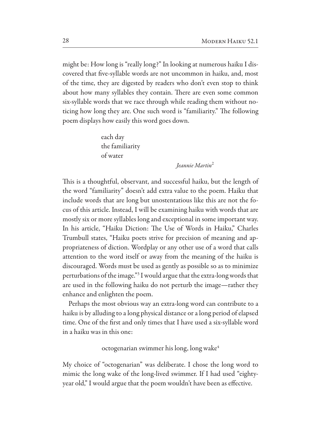might be: How long is "really long?" In looking at numerous haiku I discovered that fve-syllable words are not uncommon in haiku, and, most of the time, they are digested by readers who don't even stop to think about how many syllables they contain. There are even some common six-syllable words that we race through while reading them without noticing how long they are. One such word is "familiarity." The following poem displays how easily this word goes down.

> each day the familiarity of water

> > *Jeannie Martin*<sup>2</sup>

This is a thoughtful, observant, and successful haiku, but the length of the word "familiarity" doesn't add extra value to the poem. Haiku that include words that are long but unostentatious like this are not the focus of this article. Instead, I will be examining haiku with words that are mostly six or more syllables long and exceptional in some important way. In his article, "Haiku Diction: The Use of Words in Haiku," Charles Trumbull states, "Haiku poets strive for precision of meaning and appropriateness of diction. Wordplay or any other use of a word that calls attention to the word itself or away from the meaning of the haiku is discouraged. Words must be used as gently as possible so as to minimize perturbations of the image."<sup>3</sup> I would argue that the extra-long words that are used in the following haiku do not perturb the image—rather they enhance and enlighten the poem.

Perhaps the most obvious way an extra-long word can contribute to a haiku is by alluding to a long physical distance or a long period of elapsed time. One of the first and only times that I have used a six-syllable word in a haiku was in this one:

### octogenarian swimmer his long, long wake

My choice of "octogenarian" was deliberate. I chose the long word to mimic the long wake of the long-lived swimmer. If I had used "eightyyear old," I would argue that the poem wouldn't have been as efective.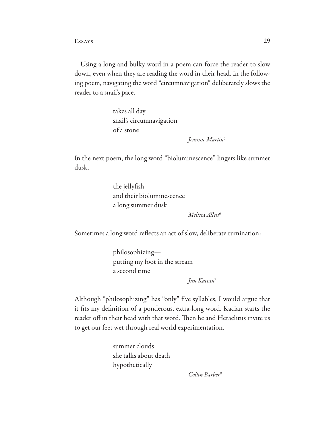Using a long and bulky word in a poem can force the reader to slow down, even when they are reading the word in their head. In the following poem, navigating the word "circumnavigation" deliberately slows the reader to a snail's pace.

> takes all day snail's circumnavigation of a stone

> > *Jeannie Martin*<sup>5</sup>

In the next poem, the long word "bioluminescence" lingers like summer dusk.

> the jellyfsh and their bioluminescence a long summer dusk

> > *Melissa Allen*<sup>6</sup>

Sometimes a long word refects an act of slow, deliberate rumination:

philosophizing putting my foot in the stream a second time

*Jim Kacian*<sup>7</sup>

Although "philosophizing" has "only" fve syllables, I would argue that it fits my definition of a ponderous, extra-long word. Kacian starts the reader off in their head with that word. Then he and Heraclitus invite us to get our feet wet through real world experimentation.

> summer clouds she talks about death hypothetically

> > *Collin Barber*8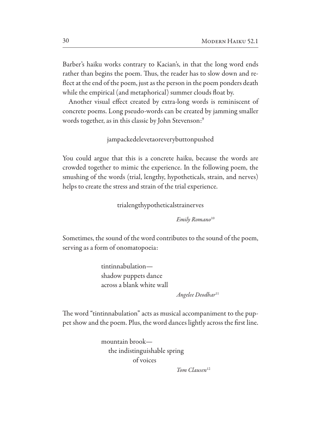Barber's haiku works contrary to Kacian's, in that the long word ends rather than begins the poem. Thus, the reader has to slow down and refect at the end of the poem, just as the person in the poem ponders death while the empirical (and metaphorical) summer clouds foat by.

Another visual effect created by extra-long words is reminiscent of concrete poems. Long pseudo-words can be created by jamming smaller words together, as in this classic by John Stevenson:9

jampackedelevetaoreverybuttonpushed

You could argue that this is a concrete haiku, because the words are crowded together to mimic the experience. In the following poem, the smushing of the words (trial, lengthy, hypotheticals, strain, and nerves) helps to create the stress and strain of the trial experience.

trialengthypotheticalstrainerves

*Emily Romano*<sup>10</sup>

Sometimes, the sound of the word contributes to the sound of the poem, serving as a form of onomatopoeia:

> tintinnabulation shadow puppets dance across a blank white wall

> > *Angelee Deodhar*<sup>11</sup>

The word "tintinnabulation" acts as musical accompaniment to the puppet show and the poem. Plus, the word dances lightly across the frst line.

> mountain brook the indistinguishable spring of voices

> > *Tom Clausen*12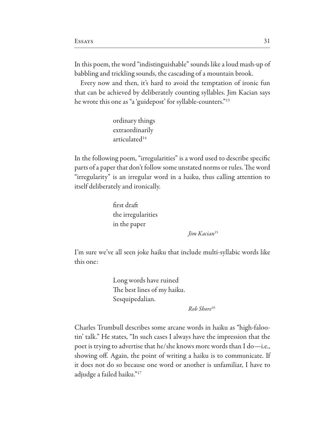In this poem, the word "indistinguishable" sounds like a loud mash-up of babbling and trickling sounds, the cascading of a mountain brook.

Every now and then, it's hard to avoid the temptation of ironic fun that can be achieved by deliberately counting syllables. Jim Kacian says he wrote this one as "a 'guidepost' for syllable-counters."13

> ordinary things extraordinarily articulated

In the following poem, "irregularities" is a word used to describe specifc parts of a paper that don't follow some unstated norms or rules. The word "irregularity" is an irregular word in a haiku, thus calling attention to itself deliberately and ironically.

> frst draf the irregularities in the paper

> > *Jim Kacian*<sup>15</sup>

I'm sure we've all seen joke haiku that include multi-syllabic words like this one:

> Long words have ruined The best lines of my haiku. Sesquipedalian.

> > *Rob Shore*<sup>16</sup>

Charles Trumbull describes some arcane words in haiku as "high-falootin' talk." He states, "In such cases I always have the impression that the poet is trying to advertise that he/she knows more words than I do—i.e., showing of. Again, the point of writing a haiku is to communicate. If it does not do so because one word or another is unfamiliar, I have to adjudge a failed haiku."17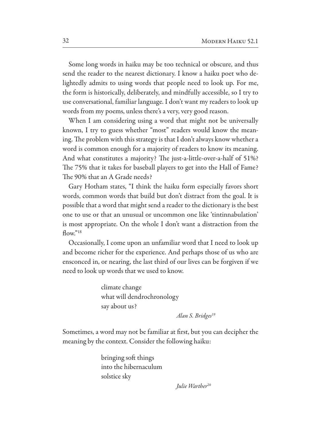Some long words in haiku may be too technical or obscure, and thus send the reader to the nearest dictionary. I know a haiku poet who delightedly admits to using words that people need to look up. For me, the form is historically, deliberately, and mindfully accessible, so I try to use conversational, familiar language. I don't want my readers to look up words from my poems, unless there's a very, very good reason.

When I am considering using a word that might not be universally known, I try to guess whether "most" readers would know the meaning. The problem with this strategy is that I don't always know whether a word is common enough for a majority of readers to know its meaning. And what constitutes a majority? The just-a-little-over-a-half of 51%? The 75% that it takes for baseball players to get into the Hall of Fame? The 90% that an A Grade needs?

Gary Hotham states, "I think the haiku form especially favors short words, common words that build but don't distract from the goal. It is possible that a word that might send a reader to the dictionary is the best one to use or that an unusual or uncommon one like 'tintinnabulation' is most appropriate. On the whole I don't want a distraction from the flow."<sup>18</sup>

Occasionally, I come upon an unfamiliar word that I need to look up and become richer for the experience. And perhaps those of us who are ensconced in, or nearing, the last third of our lives can be forgiven if we need to look up words that we used to know.

> climate change what will dendrochronology say about us?

> > *Alan S. Bridges*<sup>19</sup>

Sometimes, a word may not be familiar at frst, but you can decipher the meaning by the context. Consider the following haiku:

> bringing soft things into the hibernaculum solstice sky

> > Julie Warther<sup>20</sup>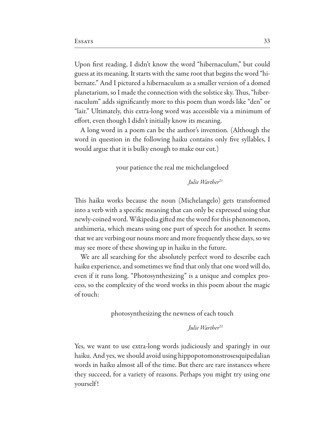Upon frst reading, I didn't know the word "hibernaculum," but could guess at its meaning. It starts with the same root that begins the word "hibernate." And I pictured a hibernaculum as a smaller version of a domed planetarium, so I made the connection with the solstice sky. Thus, "hibernaculum" adds signifcantly more to this poem than words like "den" or "lair." Ultimately, this extra-long word was accessible via a minimum of efort, even though I didn't initially know its meaning.

A long word in a poem can be the author's invention. (Although the word in question in the following haiku contains only fve syllables, I would argue that it is bulky enough to make our cut.)

### your patience the real me michelangeloed

*<i>Julie* Warther<sup>21</sup>

This haiku works because the noun (Michelangelo) gets transformed into a verb with a specific meaning that can only be expressed using that newly-coined word. Wikipedia gifed me the word for this phenomenon, anthimeria, which means using one part of speech for another. It seems that we are verbing our nouns more and more frequently these days, so we may see more of these showing up in haiku in the future.

We are all searching for the absolutely perfect word to describe each haiku experience, and sometimes we find that only that one word will do, even if it runs long. "Photosynthesizing" is a unique and complex process, so the complexity of the word works in this poem about the magic of touch:

photosynthesizing the newness of each touch

*Julie Warther*<sup>22</sup>

Yes, we want to use extra-long words judiciously and sparingly in our haiku. And yes, we should avoid using hippopotomonstrosesquipedalian words in haiku almost all of the time. But there are rare instances where they succeed, for a variety of reasons. Perhaps you might try using one yourself !